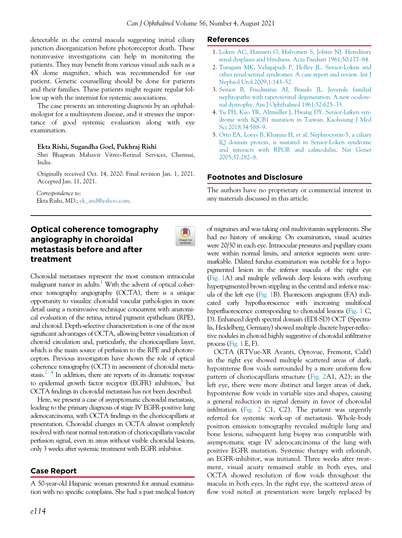detectable in the central macula suggesting initial ciliary junction disorganization before photoreceptor death. These noninvasive investigations can help in monitoring the patients. They may benefit from various visual aids such as a 4X dome magnifier, which was recommended for our patient. Genetic counselling should be done for patients and their families. These patients might require regular follow up with the internist for systemic associations.

The case presents an interesting diagnosis by an ophthalmologist for a multisystem disease, and it stresses the importance of good systemic evaluation along with eye examination.

### Ekta Rishi, Sugandha Goel, Pukhraj Rishi

Shri Bhagwan Mahavir Vitreo-Retinal Services, Chennai, India.

Originally received Oct. 14, 2020. Final revision Jan. 1, 2021. Accepted Jan. 11, 2021.

Correspondence to: Ekta Rishi, MD.; [ek\\_and@yahoo.com](mailto:ek_and@yahoo.com).

# Optical coherence tomography angiography in choroidal metastasis before and after treatment



Choroidal metastases represent the most common intraocular malignant tumor in adults.<sup>1</sup> With the advent of optical coherence tomography angiography (OCTA), there is a unique opportunity to visualize choroidal vascular pathologies in more detail using a noninvasive technique concurrent with anatomical evaluation of the retina, retinal pigment epithelium (RPE), and choroid. Depth-selective characterization is one of the most significant advantages of OCTA, allowing better visualization of choroid circulation and, particularly, the choriocapillaris layer, which is the main source of perfusion to the RPE and photoreceptors. Previous investigators have shown the role of optical coherence tomography (OCT) in assessment of choroidal metastasis.<sup> $2-4$  $2-4$ </sup> In addition, there are reports of its dramatic response to epidermal growth factor receptor (EGFR) inhibitors,<sup>5</sup> but OCTA findings in choroidal metastasis has not been described.

Here, we present a case of asymptomatic choroidal metastasis, leading to the primary diagnosis of stage IV EGFR-positive lung adenocarcinoma, with OCTA findings in the choriocapillaris at presentation. Choroidal changes in OCTA almost completely resolved with near normal restoration of choriocapillaris vascular perfusion signal, even in areas without visible choroidal lesions, only 3 weeks after systemic treatment with EGFR inhibitor.

## Case Report

A 50-year-old Hispanic woman presented for annual examination with no specific complains. She had a past medical history

### References

- 1. [Loken AC, Hanssen O, Halvorsen S, Jolster NJ. Hereditary](http://refhub.elsevier.com/S0008-4182(21)00020-X/sbref0001_2068) [renal dysplasia and blindness. Acta Paediatr 1961;50:177](http://refhub.elsevier.com/S0008-4182(21)00020-X/sbref0001_2068)–84.
- 2. [Turagam MK, Velagapudi P, Holley JL. Senior-Loken and](http://refhub.elsevier.com/S0008-4182(21)00020-X/sbref0002_2068) [other renal-retinal syndromes: A case report and review. Int J](http://refhub.elsevier.com/S0008-4182(21)00020-X/sbref0002_2068) [Nephrol Urol 2009;1:143](http://refhub.elsevier.com/S0008-4182(21)00020-X/sbref0002_2068)–52.
- 3. [Senior B, Friedmann AI, Braudo JL. Juvenile familial](http://refhub.elsevier.com/S0008-4182(21)00020-X/sbref0003_2068) [nephropathy with tapetoretinal degeneration. A new oculore](http://refhub.elsevier.com/S0008-4182(21)00020-X/sbref0003_2068)[nal dystrophy. Am J Ophthalmol 1961;52:625](http://refhub.elsevier.com/S0008-4182(21)00020-X/sbref0003_2068)–33.
- 4. [Yu PH, Kuo YR, Altm](http://refhub.elsevier.com/S0008-4182(21)00020-X/sbref0004_2068)üller J, Hwang DY. Senior-Løken syn[drome with IQCB1 mutation in Taiwan. Kaohsiung J Med](http://refhub.elsevier.com/S0008-4182(21)00020-X/sbref0004_2068) [Sci 2018;34:588](http://refhub.elsevier.com/S0008-4182(21)00020-X/sbref0004_2068)–9.
- 5. [Otto EA, Loeys B, Khanna H, et al. Nephrocystin-5, a ciliary](http://refhub.elsevier.com/S0008-4182(21)00020-X/sbref0005_2068) [IQ domain protein, is mutated in Senior-Loken syndrome](http://refhub.elsevier.com/S0008-4182(21)00020-X/sbref0005_2068) [and interacts with RPGR and calmodulin. Nat Genet](http://refhub.elsevier.com/S0008-4182(21)00020-X/sbref0005_2068) [2005;37:282](http://refhub.elsevier.com/S0008-4182(21)00020-X/sbref0005_2068)–8.

## Footnotes and Disclosure

The authors have no proprietary or commercial interest in any materials discussed in this article.

of migraines and was taking oral multivitamin supplements. She had no history of smoking. On examination, visual acuities were 20/30 in each eye. Intraocular pressures and pupillary exam were within normal limits, and anterior segments were unremarkable. Dilated fundus examination was notable for a hypopigmented lesion in the inferior macula of the right eye [\(Fig. 1](#page-1-0)A) and multiple yellowish deep lesions with overlying hyperpigmented brown stippling in the central and inferior macula of the left eye [\(Fig. 1B](#page-1-0)). Fluorescein angiogram (FA) indicated early hypofluorescence with increasing multifocal hyperfluorescence corresponding to choroidal lesions [\(Fig. 1](#page-1-0) C, D). Enhanced depth spectral domain (EDI-SD) OCT (Spectralis, Heidelberg, Germany) showed multiple discrete hyper-reflective nodules in choroid highly suggestive of choroidal infiltrative process ([Fig. 1](#page-1-0) E, F).

OCTA (RTVue-XR Avanti, Optovue, Fremont, Calif) in the right eye showed multiple scattered areas of dark, hypointense flow voids surrounded by a more uniform flow pattern of choriocapillaris structure ([Fig. 2A](#page-2-3)1, A2); in the left eye, there were more distinct and larger areas of dark, hypointense flow voids in variable sizes and shapes, causing a general reduction in signal density in favor of choroidal infiltration [\(Fig. 2](#page-2-3) C1, C2). The patient was urgently referred for systemic work-up of metastasis. Whole-body positron emission tomography revealed multiple lung and bone lesions; subsequent lung biopsy was compatible with asymptomatic stage IV adenocarcinoma of the lung with positive EGFR mutation. Systemic therapy with erlotinib, an EGFR-inhibitor, was initiated. Three weeks after treatment, visual acuity remained stable in both eyes, and OCTA showed resolution of flow voids throughout the macula in both eyes. In the right eye, the scattered areas of flow void noted at presentation were largely replaced by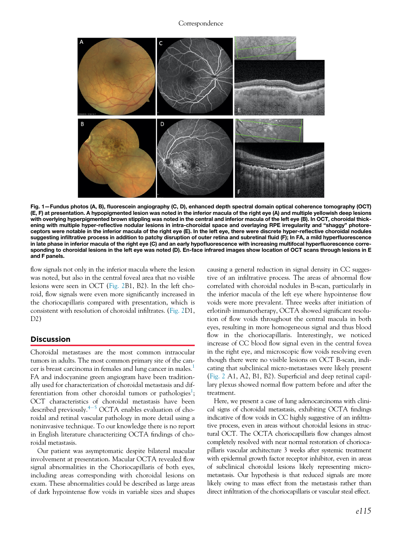#### Correspondence

<span id="page-1-0"></span>

Fig. 1—Fundus photos (A, B), fluorescein angiography (C, D), enhanced depth spectral domain optical coherence tomography (OCT) (E, F) at presentation. A hypopigmented lesion was noted in the inferior macula of the right eye (A) and multiple yellowish deep lesions with overlying hyperpigmented brown stippling was noted in the central and inferior macula of the left eye (B). In OCT, choroidal thickening with multiple hyper-reflective nodular lesions in intra-choroidal space and overlaying RPE irregularity and "shaggy" photoreceptors were notable in the inferior macula of the right eye (E). In the left eye, there were discrete hyper-reflective choroidal nodules suggesting infiltrative process in addition to patchy disruption of outer retina and subretinal fluid (F); In FA, a mild hyperfluorescence in late phase in inferior macula of the right eye (C) and an early hypofluorescence with increasing multifocal hyperfluorescence corresponding to choroidal lesions in the left eye was noted (D). En-face infrared images show location of OCT scans through lesions in E and F panels.

flow signals not only in the inferior macula where the lesion was noted, but also in the central foveal area that no visible lesions were seen in OCT ([Fig. 2B](#page-2-3)1, B2). In the left choroid, flow signals were even more significantly increased in the choriocapillaris compared with presentation, which is consistent with resolution of choroidal infiltrates. ([Fig. 2D](#page-2-3)1, D2)

#### Discussion

Choroidal metastases are the most common intraocular tumors in adults. The most common primary site of the can-cer is breast carcinoma in females and lung cancer in males.<sup>[1](#page-2-0)</sup> FA and indocyanine green angiogram have been traditionally used for characterization of choroidal metastasis and dif-ferentiation from other choroidal tumors or pathologies<sup>[1](#page-2-0)</sup>; OCT characteristics of choroidal metastasis have been described previously.<sup> $4-5$  $4-5$  $4-5$ </sup> OCTA enables evaluation of choroidal and retinal vascular pathology in more detail using a noninvasive technique. To our knowledge there is no report in English literature characterizing OCTA findings of choroidal metastasis.

Our patient was asymptomatic despite bilateral macular involvement at presentation. Macular OCTA revealed flow signal abnormalities in the Choriocapillaris of both eyes, including areas corresponding with choroidal lesions on exam. These abnormalities could be described as large areas of dark hypointense flow voids in variable sizes and shapes causing a general reduction in signal density in CC suggestive of an infiltrative process. The areas of abnormal flow correlated with choroidal nodules in B-scan, particularly in the inferior macula of the left eye where hypointense flow voids were more prevalent. Three weeks after initiation of erlotinib immunotherapy, OCTA showed significant resolution of flow voids throughout the central macula in both eyes, resulting in more homogeneous signal and thus blood flow in the choriocapillaris. Interestingly, we noticed increase of CC blood flow signal even in the central fovea in the right eye, and microscopic flow voids resolving even though there were no visible lesions on OCT B-scan, indicating that subclinical micro-metastases were likely present [\(Fig. 2](#page-2-3) A1, A2, B1, B2). Superficial and deep retinal capillary plexus showed normal flow pattern before and after the treatment.

Here, we present a case of lung adenocarcinoma with clinical signs of choroidal metastasis, exhibiting OCTA findings indicative of flow voids in CC highly suggestive of an infiltrative process, even in areas without choroidal lesions in structural OCT. The OCTA choriocapillaris flow changes almost completely resolved with near normal restoration of choriocapillaris vascular architecture 3 weeks after systemic treatment with epidermal growth factor receptor inhibitor, even in areas of subclinical choroidal lesions likely representing micrometastasis. Our hypothesis is that reduced signals are more likely owing to mass effect from the metastasis rather than direct infiltration of the choriocapillaris or vascular steal effect.